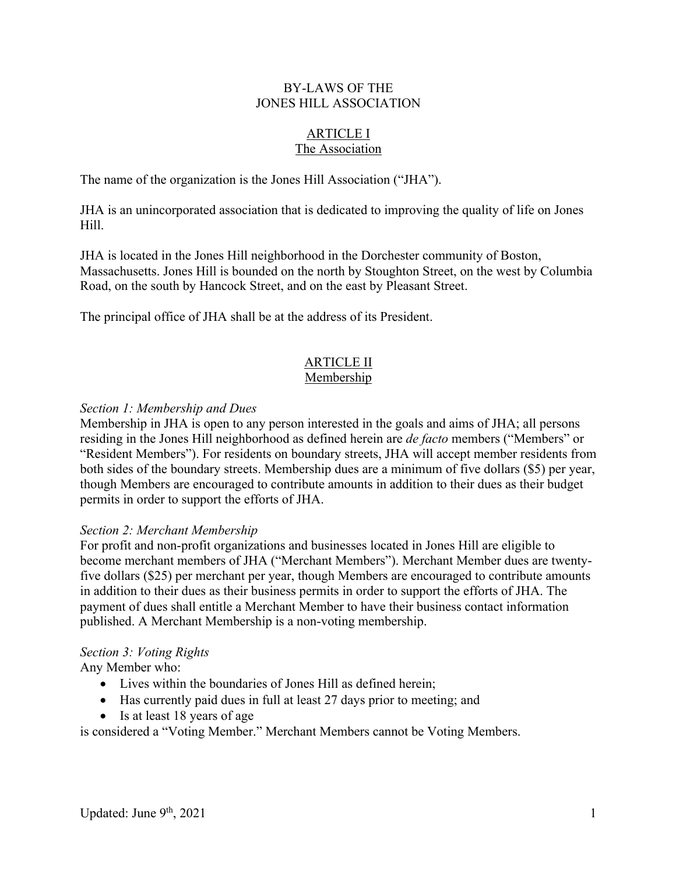## BY-LAWS OF THE JONES HILL ASSOCIATION

#### ARTICLE I The Association

The name of the organization is the Jones Hill Association ("JHA").

JHA is an unincorporated association that is dedicated to improving the quality of life on Jones Hill.

JHA is located in the Jones Hill neighborhood in the Dorchester community of Boston, Massachusetts. Jones Hill is bounded on the north by Stoughton Street, on the west by Columbia Road, on the south by Hancock Street, and on the east by Pleasant Street.

The principal office of JHA shall be at the address of its President.

### ARTICLE II Membership

## *Section 1: Membership and Dues*

Membership in JHA is open to any person interested in the goals and aims of JHA; all persons residing in the Jones Hill neighborhood as defined herein are *de facto* members ("Members" or "Resident Members"). For residents on boundary streets, JHA will accept member residents from both sides of the boundary streets. Membership dues are a minimum of five dollars (\$5) per year, though Members are encouraged to contribute amounts in addition to their dues as their budget permits in order to support the efforts of JHA.

## *Section 2: Merchant Membership*

For profit and non-profit organizations and businesses located in Jones Hill are eligible to become merchant members of JHA ("Merchant Members"). Merchant Member dues are twentyfive dollars (\$25) per merchant per year, though Members are encouraged to contribute amounts in addition to their dues as their business permits in order to support the efforts of JHA. The payment of dues shall entitle a Merchant Member to have their business contact information published. A Merchant Membership is a non-voting membership.

## *Section 3: Voting Rights*

Any Member who:

- Lives within the boundaries of Jones Hill as defined herein;
- Has currently paid dues in full at least 27 days prior to meeting; and
- Is at least 18 years of age

is considered a "Voting Member." Merchant Members cannot be Voting Members.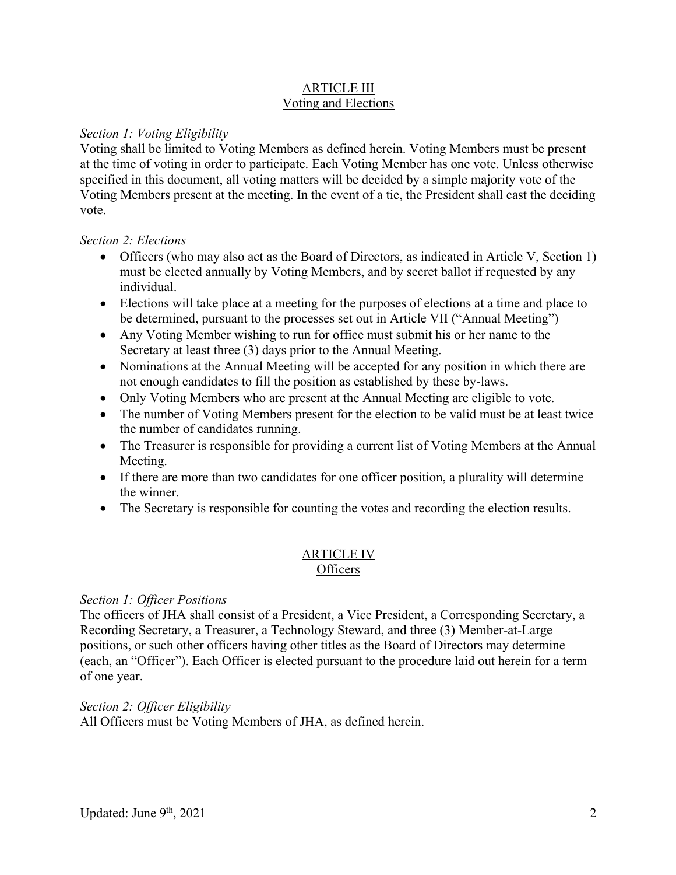## ARTICLE III Voting and Elections

## *Section 1: Voting Eligibility*

Voting shall be limited to Voting Members as defined herein. Voting Members must be present at the time of voting in order to participate. Each Voting Member has one vote. Unless otherwise specified in this document, all voting matters will be decided by a simple majority vote of the Voting Members present at the meeting. In the event of a tie, the President shall cast the deciding vote.

## *Section 2: Elections*

- Officers (who may also act as the Board of Directors, as indicated in Article V, Section 1) must be elected annually by Voting Members, and by secret ballot if requested by any individual.
- Elections will take place at a meeting for the purposes of elections at a time and place to be determined, pursuant to the processes set out in Article VII ("Annual Meeting")
- Any Voting Member wishing to run for office must submit his or her name to the Secretary at least three (3) days prior to the Annual Meeting.
- Nominations at the Annual Meeting will be accepted for any position in which there are not enough candidates to fill the position as established by these by-laws.
- Only Voting Members who are present at the Annual Meeting are eligible to vote.
- The number of Voting Members present for the election to be valid must be at least twice the number of candidates running.
- The Treasurer is responsible for providing a current list of Voting Members at the Annual Meeting.
- If there are more than two candidates for one officer position, a plurality will determine the winner.
- The Secretary is responsible for counting the votes and recording the election results.

## ARTICLE IV **Officers**

## *Section 1: Officer Positions*

The officers of JHA shall consist of a President, a Vice President, a Corresponding Secretary, a Recording Secretary, a Treasurer, a Technology Steward, and three (3) Member-at-Large positions, or such other officers having other titles as the Board of Directors may determine (each, an "Officer"). Each Officer is elected pursuant to the procedure laid out herein for a term of one year.

## *Section 2: Officer Eligibility*

All Officers must be Voting Members of JHA, as defined herein.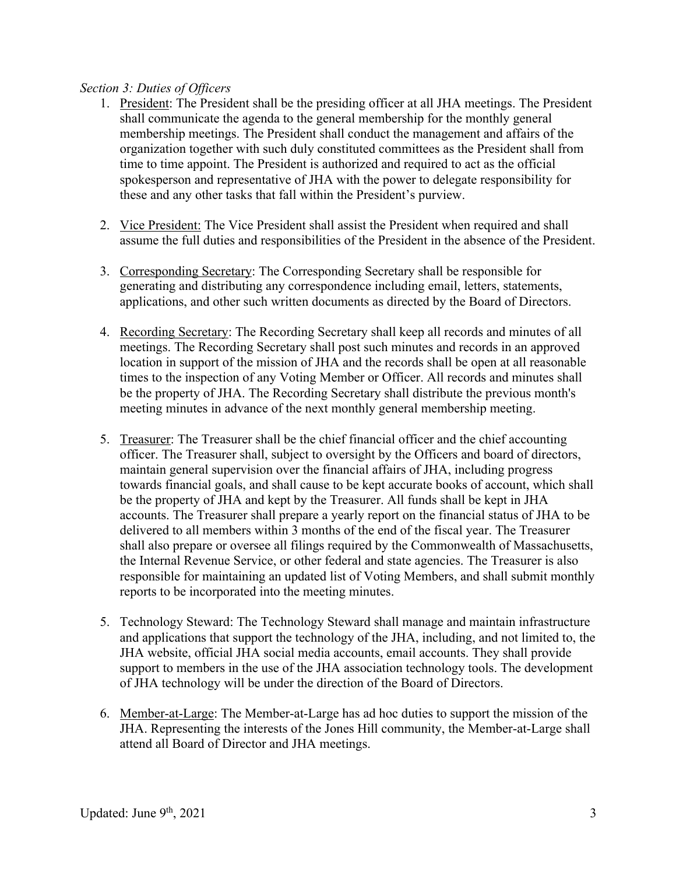## *Section 3: Duties of Officers*

- 1. President: The President shall be the presiding officer at all JHA meetings. The President shall communicate the agenda to the general membership for the monthly general membership meetings. The President shall conduct the management and affairs of the organization together with such duly constituted committees as the President shall from time to time appoint. The President is authorized and required to act as the official spokesperson and representative of JHA with the power to delegate responsibility for these and any other tasks that fall within the President's purview.
- 2. Vice President: The Vice President shall assist the President when required and shall assume the full duties and responsibilities of the President in the absence of the President.
- 3. Corresponding Secretary: The Corresponding Secretary shall be responsible for generating and distributing any correspondence including email, letters, statements, applications, and other such written documents as directed by the Board of Directors.
- 4. Recording Secretary: The Recording Secretary shall keep all records and minutes of all meetings. The Recording Secretary shall post such minutes and records in an approved location in support of the mission of JHA and the records shall be open at all reasonable times to the inspection of any Voting Member or Officer. All records and minutes shall be the property of JHA. The Recording Secretary shall distribute the previous month's meeting minutes in advance of the next monthly general membership meeting.
- 5. Treasurer: The Treasurer shall be the chief financial officer and the chief accounting officer. The Treasurer shall, subject to oversight by the Officers and board of directors, maintain general supervision over the financial affairs of JHA, including progress towards financial goals, and shall cause to be kept accurate books of account, which shall be the property of JHA and kept by the Treasurer. All funds shall be kept in JHA accounts. The Treasurer shall prepare a yearly report on the financial status of JHA to be delivered to all members within 3 months of the end of the fiscal year. The Treasurer shall also prepare or oversee all filings required by the Commonwealth of Massachusetts, the Internal Revenue Service, or other federal and state agencies. The Treasurer is also responsible for maintaining an updated list of Voting Members, and shall submit monthly reports to be incorporated into the meeting minutes.
- 5. Technology Steward: The Technology Steward shall manage and maintain infrastructure and applications that support the technology of the JHA, including, and not limited to, the JHA website, official JHA social media accounts, email accounts. They shall provide support to members in the use of the JHA association technology tools. The development of JHA technology will be under the direction of the Board of Directors.
- 6. Member-at-Large: The Member-at-Large has ad hoc duties to support the mission of the JHA. Representing the interests of the Jones Hill community, the Member-at-Large shall attend all Board of Director and JHA meetings.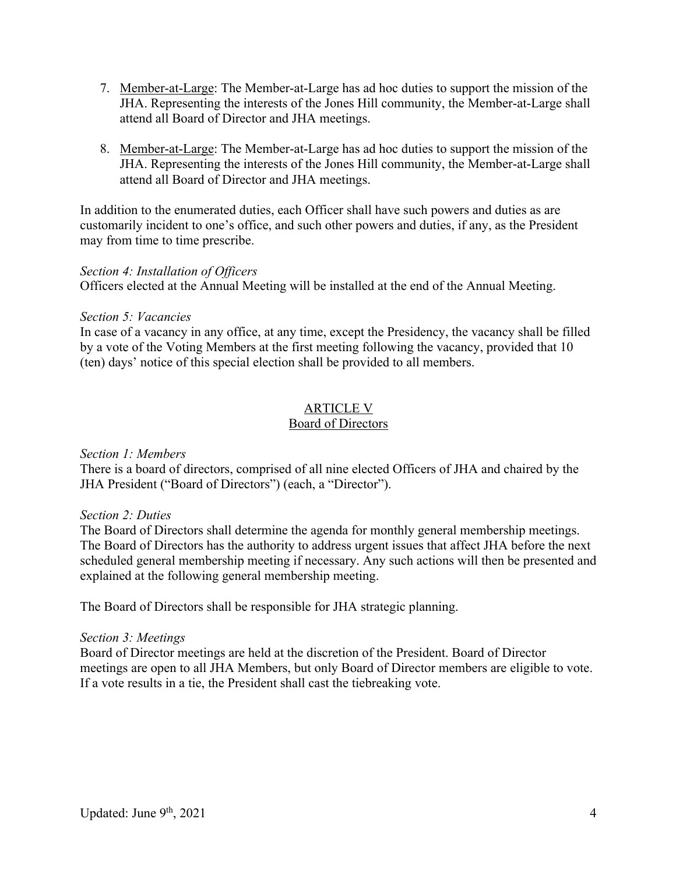- 7. Member-at-Large: The Member-at-Large has ad hoc duties to support the mission of the JHA. Representing the interests of the Jones Hill community, the Member-at-Large shall attend all Board of Director and JHA meetings.
- 8. Member-at-Large: The Member-at-Large has ad hoc duties to support the mission of the JHA. Representing the interests of the Jones Hill community, the Member-at-Large shall attend all Board of Director and JHA meetings.

In addition to the enumerated duties, each Officer shall have such powers and duties as are customarily incident to one's office, and such other powers and duties, if any, as the President may from time to time prescribe.

## *Section 4: Installation of Officers*

Officers elected at the Annual Meeting will be installed at the end of the Annual Meeting.

## *Section 5: Vacancies*

In case of a vacancy in any office, at any time, except the Presidency, the vacancy shall be filled by a vote of the Voting Members at the first meeting following the vacancy, provided that 10 (ten) days' notice of this special election shall be provided to all members.

# ARTICLE V

## Board of Directors

## *Section 1: Members*

There is a board of directors, comprised of all nine elected Officers of JHA and chaired by the JHA President ("Board of Directors") (each, a "Director").

## *Section 2: Duties*

The Board of Directors shall determine the agenda for monthly general membership meetings. The Board of Directors has the authority to address urgent issues that affect JHA before the next scheduled general membership meeting if necessary. Any such actions will then be presented and explained at the following general membership meeting.

The Board of Directors shall be responsible for JHA strategic planning.

## *Section 3: Meetings*

Board of Director meetings are held at the discretion of the President. Board of Director meetings are open to all JHA Members, but only Board of Director members are eligible to vote. If a vote results in a tie, the President shall cast the tiebreaking vote.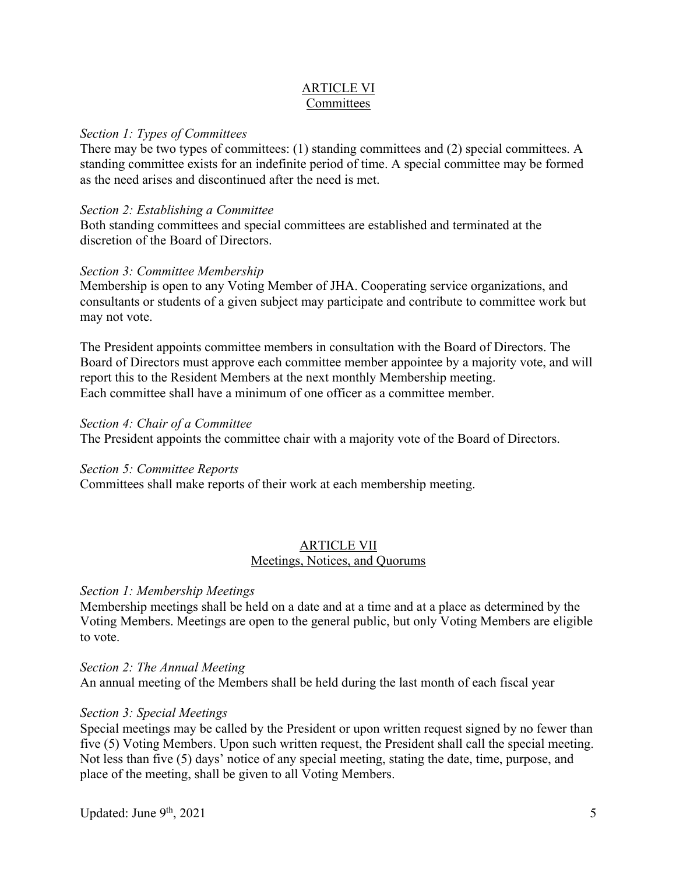## ARTICLE VI Committees

## *Section 1: Types of Committees*

There may be two types of committees: (1) standing committees and (2) special committees. A standing committee exists for an indefinite period of time. A special committee may be formed as the need arises and discontinued after the need is met.

## *Section 2: Establishing a Committee*

Both standing committees and special committees are established and terminated at the discretion of the Board of Directors.

## *Section 3: Committee Membership*

Membership is open to any Voting Member of JHA. Cooperating service organizations, and consultants or students of a given subject may participate and contribute to committee work but may not vote.

The President appoints committee members in consultation with the Board of Directors. The Board of Directors must approve each committee member appointee by a majority vote, and will report this to the Resident Members at the next monthly Membership meeting. Each committee shall have a minimum of one officer as a committee member.

## *Section 4: Chair of a Committee*

The President appoints the committee chair with a majority vote of the Board of Directors.

## *Section 5: Committee Reports*

Committees shall make reports of their work at each membership meeting.

## ARTICLE VII Meetings, Notices, and Quorums

## *Section 1: Membership Meetings*

Membership meetings shall be held on a date and at a time and at a place as determined by the Voting Members. Meetings are open to the general public, but only Voting Members are eligible to vote.

#### *Section 2: The Annual Meeting*

An annual meeting of the Members shall be held during the last month of each fiscal year

## *Section 3: Special Meetings*

Special meetings may be called by the President or upon written request signed by no fewer than five (5) Voting Members. Upon such written request, the President shall call the special meeting. Not less than five (5) days' notice of any special meeting, stating the date, time, purpose, and place of the meeting, shall be given to all Voting Members.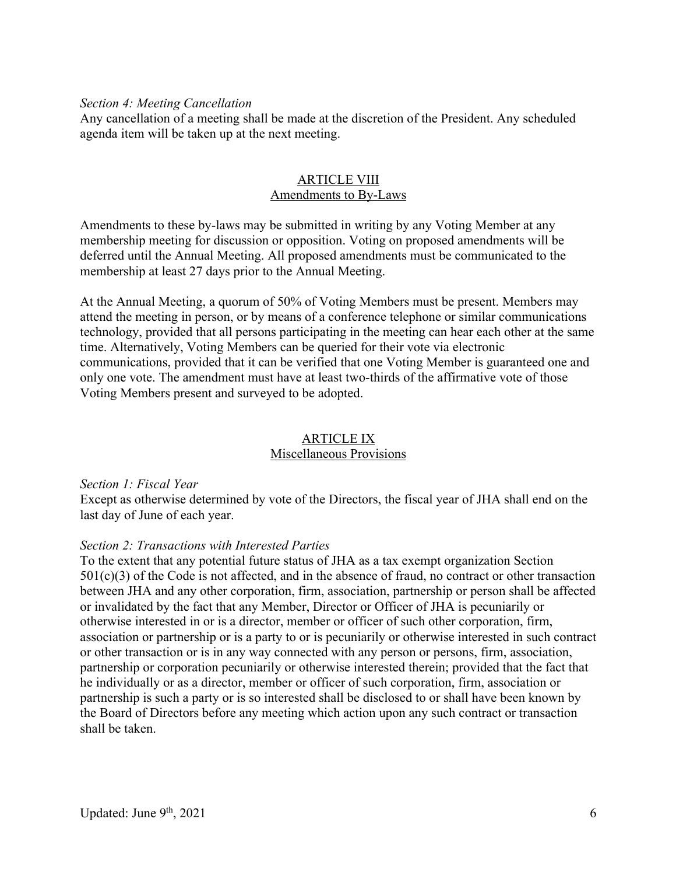### *Section 4: Meeting Cancellation*

Any cancellation of a meeting shall be made at the discretion of the President. Any scheduled agenda item will be taken up at the next meeting.

### ARTICLE VIII Amendments to By-Laws

Amendments to these by-laws may be submitted in writing by any Voting Member at any membership meeting for discussion or opposition. Voting on proposed amendments will be deferred until the Annual Meeting. All proposed amendments must be communicated to the membership at least 27 days prior to the Annual Meeting.

At the Annual Meeting, a quorum of 50% of Voting Members must be present. Members may attend the meeting in person, or by means of a conference telephone or similar communications technology, provided that all persons participating in the meeting can hear each other at the same time. Alternatively, Voting Members can be queried for their vote via electronic communications, provided that it can be verified that one Voting Member is guaranteed one and only one vote. The amendment must have at least two-thirds of the affirmative vote of those Voting Members present and surveyed to be adopted.

#### ARTICLE IX Miscellaneous Provisions

#### *Section 1: Fiscal Year*

Except as otherwise determined by vote of the Directors, the fiscal year of JHA shall end on the last day of June of each year.

#### *Section 2: Transactions with Interested Parties*

To the extent that any potential future status of JHA as a tax exempt organization Section  $501(c)(3)$  of the Code is not affected, and in the absence of fraud, no contract or other transaction between JHA and any other corporation, firm, association, partnership or person shall be affected or invalidated by the fact that any Member, Director or Officer of JHA is pecuniarily or otherwise interested in or is a director, member or officer of such other corporation, firm, association or partnership or is a party to or is pecuniarily or otherwise interested in such contract or other transaction or is in any way connected with any person or persons, firm, association, partnership or corporation pecuniarily or otherwise interested therein; provided that the fact that he individually or as a director, member or officer of such corporation, firm, association or partnership is such a party or is so interested shall be disclosed to or shall have been known by the Board of Directors before any meeting which action upon any such contract or transaction shall be taken.